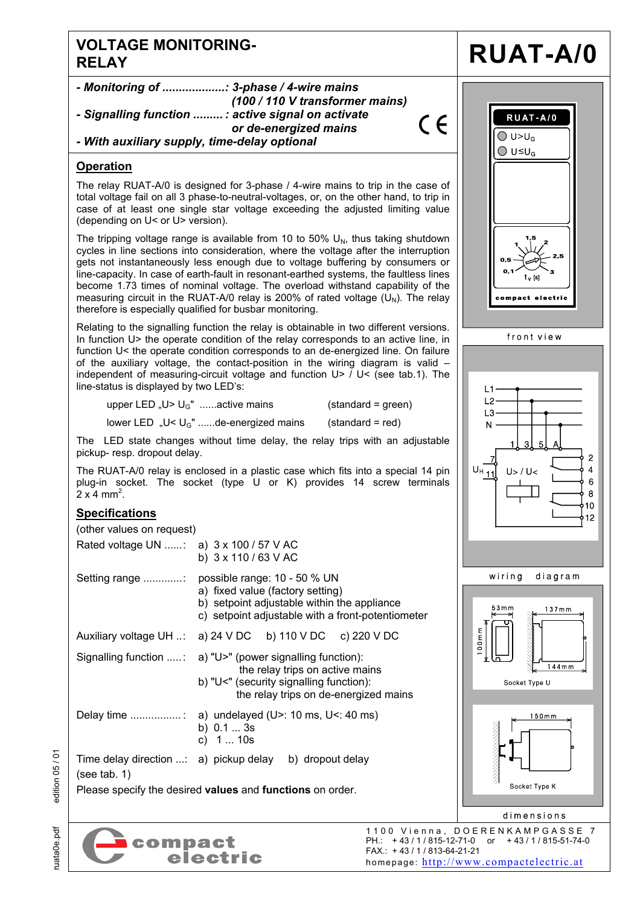## **VOLTAGE MONITORING-**



FAX.: + 43 / 1 / 813-64-21-21

homepage: http://www.compactelectric.at

ruata0e.pdf edition 05 / 01 edition 05 / 01 ruata0e.pdf

electric